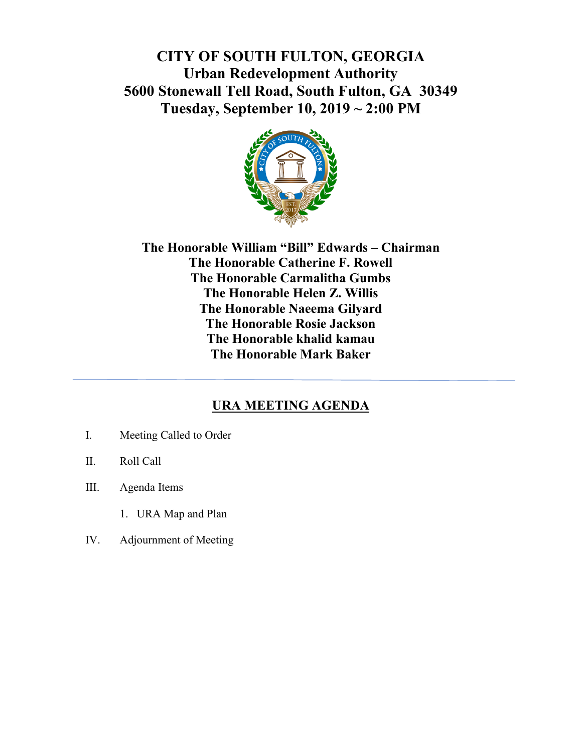# **CITY OF SOUTH FULTON, GEORGIA Urban Redevelopment Authority 5600 Stonewall Tell Road, South Fulton, GA 30349 Tuesday, September 10, 2019 ~ 2:00 PM**



**The Honorable William "Bill" Edwards – Chairman The Honorable Catherine F. Rowell The Honorable Carmalitha Gumbs The Honorable Helen Z. Willis The Honorable Naeema Gilyard The Honorable Rosie Jackson The Honorable khalid kamau The Honorable Mark Baker** 

## **URA MEETING AGENDA**

- I. Meeting Called to Order
- II. Roll Call
- III. Agenda Items
	- 1. URA Map and Plan
- IV. Adjournment of Meeting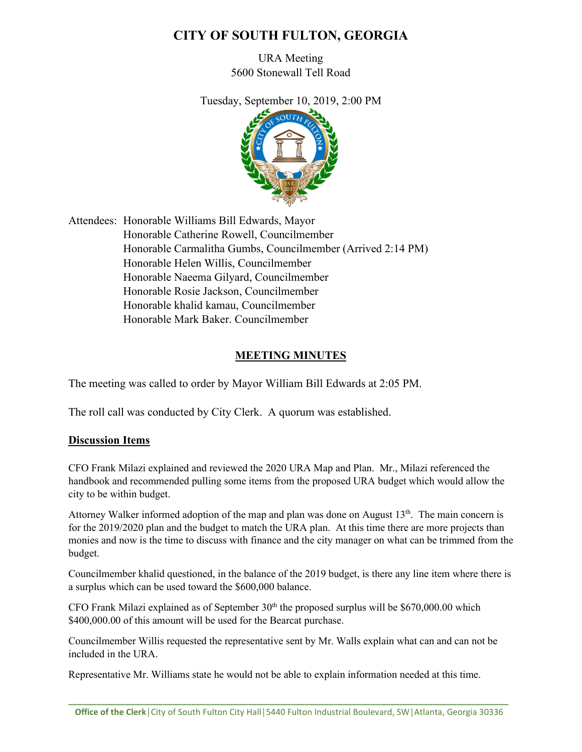## **CITY OF SOUTH FULTON, GEORGIA**

URA Meeting 5600 Stonewall Tell Road

Tuesday, September 10, 2019, 2:00 PM



Attendees: Honorable Williams Bill Edwards, Mayor Honorable Catherine Rowell, Councilmember Honorable Carmalitha Gumbs, Councilmember (Arrived 2:14 PM) Honorable Helen Willis, Councilmember Honorable Naeema Gilyard, Councilmember Honorable Rosie Jackson, Councilmember Honorable khalid kamau, Councilmember Honorable Mark Baker. Councilmember

### **MEETING MINUTES**

The meeting was called to order by Mayor William Bill Edwards at 2:05 PM.

The roll call was conducted by City Clerk. A quorum was established.

#### **Discussion Items**

CFO Frank Milazi explained and reviewed the 2020 URA Map and Plan. Mr., Milazi referenced the handbook and recommended pulling some items from the proposed URA budget which would allow the city to be within budget.

Attorney Walker informed adoption of the map and plan was done on August  $13<sup>th</sup>$ . The main concern is for the 2019/2020 plan and the budget to match the URA plan. At this time there are more projects than monies and now is the time to discuss with finance and the city manager on what can be trimmed from the budget.

Councilmember khalid questioned, in the balance of the 2019 budget, is there any line item where there is a surplus which can be used toward the \$600,000 balance.

CFO Frank Milazi explained as of September  $30<sup>th</sup>$  the proposed surplus will be \$670,000.00 which \$400,000.00 of this amount will be used for the Bearcat purchase.

Councilmember Willis requested the representative sent by Mr. Walls explain what can and can not be included in the URA.

Representative Mr. Williams state he would not be able to explain information needed at this time.